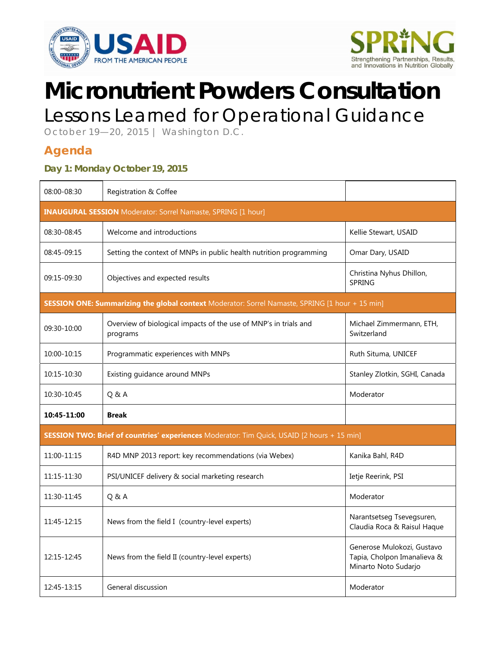



# **Micronutrient Powders Consultation**

## Lessons Learned for Operational Guidance

October 19—20, 2015 | Washington D.C.

#### **Agenda**

#### **Day 1: Monday October 19, 2015**

| 08:00-08:30                                                                                     | Registration & Coffee                                                        |                                                                                   |  |  |
|-------------------------------------------------------------------------------------------------|------------------------------------------------------------------------------|-----------------------------------------------------------------------------------|--|--|
| <b>INAUGURAL SESSION</b> Moderator: Sorrel Namaste, SPRING [1 hour]                             |                                                                              |                                                                                   |  |  |
| 08:30-08:45                                                                                     | Welcome and introductions                                                    | Kellie Stewart, USAID                                                             |  |  |
| 08:45-09:15                                                                                     | Setting the context of MNPs in public health nutrition programming           | Omar Dary, USAID                                                                  |  |  |
| 09:15-09:30                                                                                     | Objectives and expected results                                              | Christina Nyhus Dhillon,<br><b>SPRING</b>                                         |  |  |
| SESSION ONE: Summarizing the global context Moderator: Sorrel Namaste, SPRING [1 hour + 15 min] |                                                                              |                                                                                   |  |  |
| 09:30-10:00                                                                                     | Overview of biological impacts of the use of MNP's in trials and<br>programs | Michael Zimmermann, ETH,<br>Switzerland                                           |  |  |
| 10:00-10:15                                                                                     | Programmatic experiences with MNPs                                           | Ruth Situma, UNICEF                                                               |  |  |
| 10:15-10:30                                                                                     | Existing guidance around MNPs                                                | Stanley Zlotkin, SGHI, Canada                                                     |  |  |
| 10:30-10:45                                                                                     | Q&A                                                                          | Moderator                                                                         |  |  |
| 10:45-11:00                                                                                     | <b>Break</b>                                                                 |                                                                                   |  |  |
| SESSION TWO: Brief of countries' experiences Moderator: Tim Quick, USAID [2 hours + 15 min]     |                                                                              |                                                                                   |  |  |
| 11:00-11:15                                                                                     | R4D MNP 2013 report: key recommendations (via Webex)                         | Kanika Bahl, R4D                                                                  |  |  |
| 11:15-11:30                                                                                     | PSI/UNICEF delivery & social marketing research                              | Ietje Reerink, PSI                                                                |  |  |
| 11:30-11:45                                                                                     | Q&A                                                                          | Moderator                                                                         |  |  |
| 11:45-12:15                                                                                     | News from the field I (country-level experts)                                | Narantsetseg Tsevegsuren,<br>Claudia Roca & Raisul Haque                          |  |  |
| 12:15-12:45                                                                                     | News from the field II (country-level experts)                               | Generose Mulokozi, Gustavo<br>Tapia, Cholpon Imanalieva &<br>Minarto Noto Sudarjo |  |  |
| 12:45-13:15                                                                                     | General discussion                                                           | Moderator                                                                         |  |  |